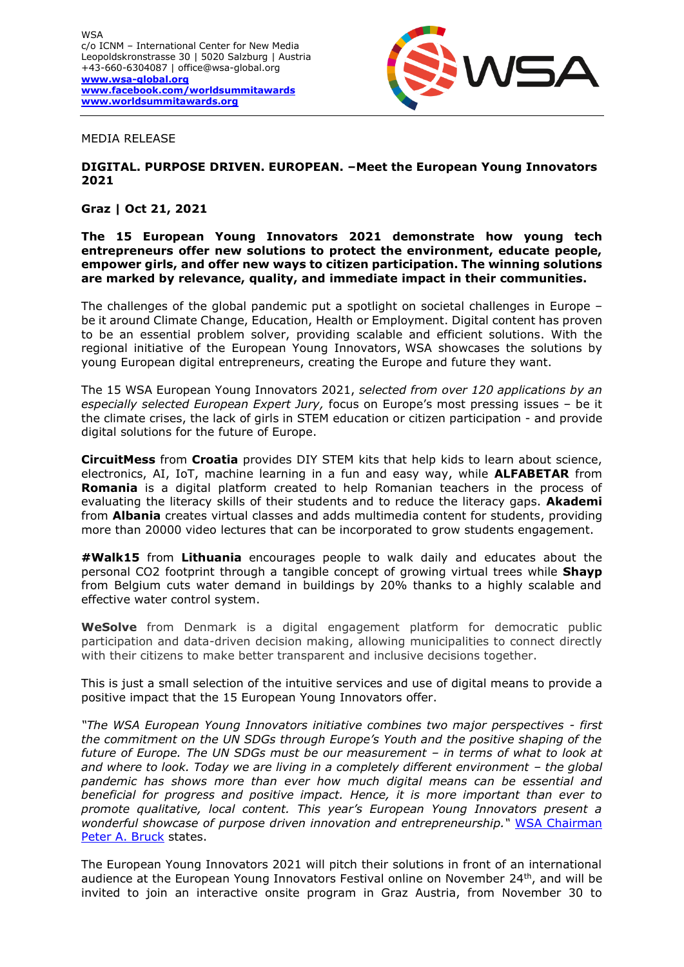

MEDIA RELEASE

## **DIGITAL. PURPOSE DRIVEN. EUROPEAN. –Meet the European Young Innovators 2021**

## **Graz | Oct 21, 2021**

#### **The 15 European Young Innovators 2021 demonstrate how young tech entrepreneurs offer new solutions to protect the environment, educate people, empower girls, and offer new ways to citizen participation. The winning solutions are marked by relevance, quality, and immediate impact in their communities.**

The challenges of the global pandemic put a spotlight on societal challenges in Europe – be it around Climate Change, Education, Health or Employment. Digital content has proven to be an essential problem solver, providing scalable and efficient solutions. With the regional initiative of the European Young Innovators, WSA showcases the solutions by young European digital entrepreneurs, creating the Europe and future they want.

The 15 WSA European Young Innovators 2021, *selected from over 120 applications by an especially selected European Expert Jury,* focus on Europe's most pressing issues – be it the climate crises, the lack of girls in STEM education or citizen participation - and provide digital solutions for the future of Europe.

**CircuitMess** from **Croatia** provides DIY STEM kits that help kids to learn about science, electronics, AI, IoT, machine learning in a fun and easy way, while **ALFABETAR** from **Romania** is a digital platform created to help Romanian teachers in the process of evaluating the literacy skills of their students and to reduce the literacy gaps. **Akademi** from **Albania** creates virtual classes and adds multimedia content for students, providing more than 20000 video lectures that can be incorporated to grow students engagement.

**#Walk15** from **Lithuania** encourages people to walk daily and educates about the personal CO2 footprint through a tangible concept of growing virtual trees while **Shayp** from Belgium cuts water demand in buildings by 20% thanks to a highly scalable and effective water control system.

**WeSolve** from Denmark is a digital engagement platform for democratic public participation and data-driven decision making, allowing municipalities to connect directly with their citizens to make better transparent and inclusive decisions together.

This is just a small selection of the intuitive services and use of digital means to provide a positive impact that the 15 European Young Innovators offer.

*"The WSA European Young Innovators initiative combines two major perspectives - first the commitment on the UN SDGs through Europe's Youth and the positive shaping of the future of Europe. The UN SDGs must be our measurement – in terms of what to look at*  and where to look. Today we are living in a completely different environment – the global *pandemic has shows more than ever how much digital means can be essential and beneficial for progress and positive impact. Hence, it is more important than ever to promote qualitative, local content. This year's European Young Innovators present a wonderful showcase of purpose driven innovation and entrepreneurship."* [WSA Chairman](https://wsa-global.org/person/peter-a-bruck/)  [Peter A. Bruck](https://wsa-global.org/person/peter-a-bruck/) states.

The European Young Innovators 2021 will pitch their solutions in front of an international audience at the European Young Innovators Festival online on November 24<sup>th</sup>, and will be invited to join an interactive onsite program in Graz Austria, from November 30 to